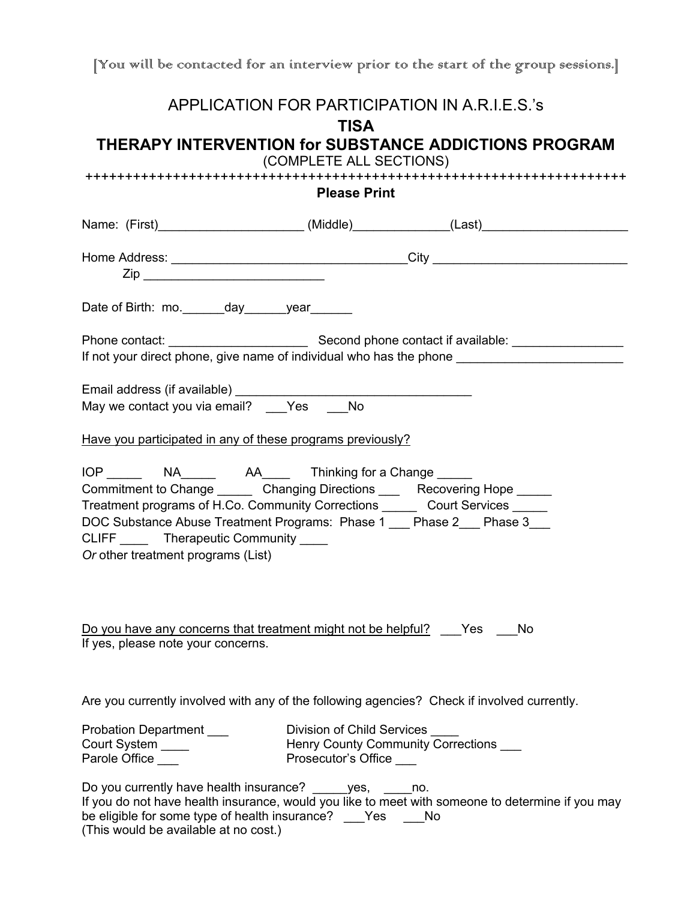[You will be contacted for an interview prior to the start of the group sessions.]

|                                                                                                                                                                                                                                                                                                                               |                                                       | APPLICATION FOR PARTICIPATION IN A.R.I.E.S.'s                                                        |  |  |  |
|-------------------------------------------------------------------------------------------------------------------------------------------------------------------------------------------------------------------------------------------------------------------------------------------------------------------------------|-------------------------------------------------------|------------------------------------------------------------------------------------------------------|--|--|--|
|                                                                                                                                                                                                                                                                                                                               | <b>TISA</b>                                           | THERAPY INTERVENTION for SUBSTANCE ADDICTIONS PROGRAM                                                |  |  |  |
| (COMPLETE ALL SECTIONS)                                                                                                                                                                                                                                                                                                       |                                                       |                                                                                                      |  |  |  |
| ++++++++++++++++++++++++++++<br>+++++++++++++++++++++++++++++++<br><b>Please Print</b>                                                                                                                                                                                                                                        |                                                       |                                                                                                      |  |  |  |
|                                                                                                                                                                                                                                                                                                                               |                                                       | Name: (First)_________________________(Middle)______________(Last)__________________________________ |  |  |  |
|                                                                                                                                                                                                                                                                                                                               |                                                       |                                                                                                      |  |  |  |
| Date of Birth: mo._______day_______year_______                                                                                                                                                                                                                                                                                |                                                       |                                                                                                      |  |  |  |
|                                                                                                                                                                                                                                                                                                                               |                                                       |                                                                                                      |  |  |  |
|                                                                                                                                                                                                                                                                                                                               |                                                       |                                                                                                      |  |  |  |
| Have you participated in any of these programs previously?                                                                                                                                                                                                                                                                    |                                                       |                                                                                                      |  |  |  |
| Commitment to Change ________ Changing Directions _____ Recovering Hope ______<br>Treatment programs of H.Co. Community Corrections _______ Court Services ______<br>DOC Substance Abuse Treatment Programs: Phase 1 __ Phase 2__ Phase 3__<br>CLIFF ______ Therapeutic Community _____<br>Or other treatment programs (List) |                                                       |                                                                                                      |  |  |  |
| Do you have any concerns that treatment might not be helpful? ___ Yes ___ No<br>If yes, please note your concerns.                                                                                                                                                                                                            |                                                       |                                                                                                      |  |  |  |
|                                                                                                                                                                                                                                                                                                                               |                                                       | Are you currently involved with any of the following agencies? Check if involved currently.          |  |  |  |
| Probation Department ___<br>Court System ____<br>Parole Office ___                                                                                                                                                                                                                                                            | Division of Child Services<br>Prosecutor's Office ___ | Henry County Community Corrections ___                                                               |  |  |  |
| Do you currently have health insurance? _____yes, ____no.<br>be eligible for some type of health insurance? _____ Yes _____ No<br>(This would be available at no cost.)                                                                                                                                                       |                                                       | If you do not have health insurance, would you like to meet with someone to determine if you may     |  |  |  |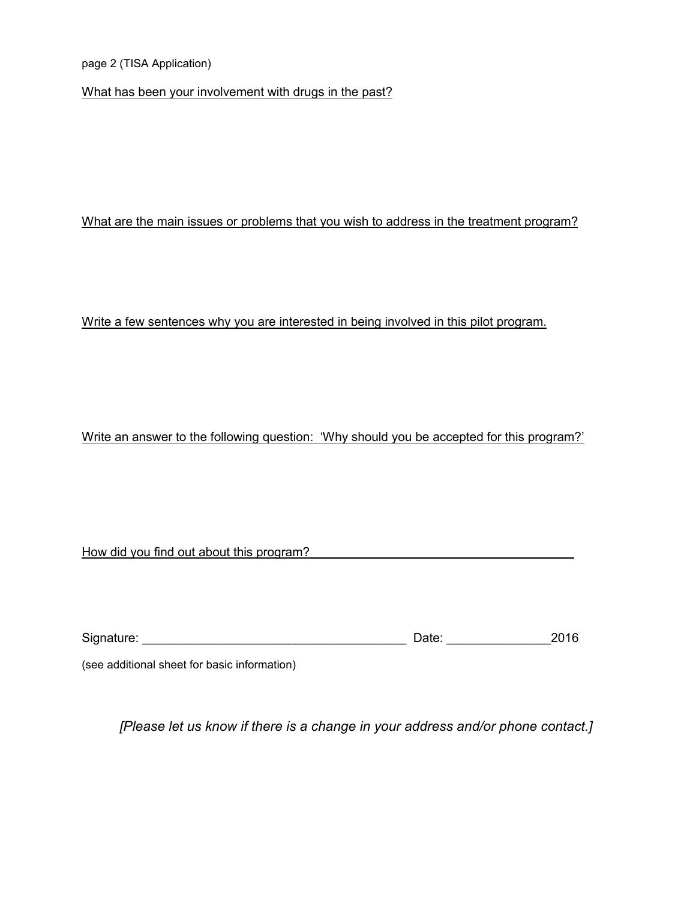page 2 (TISA Application)

What has been your involvement with drugs in the past?

### What are the main issues or problems that you wish to address in the treatment program?

#### Write a few sentences why you are interested in being involved in this pilot program.

### Write an answer to the following question: 'Why should you be accepted for this program?'

|  |  | How did you find out about this program? |  |
|--|--|------------------------------------------|--|
|--|--|------------------------------------------|--|

| Signature: | Jate: |  |
|------------|-------|--|
|------------|-------|--|

(see additional sheet for basic information)

*[Please let us know if there is a change in your address and/or phone contact.]*